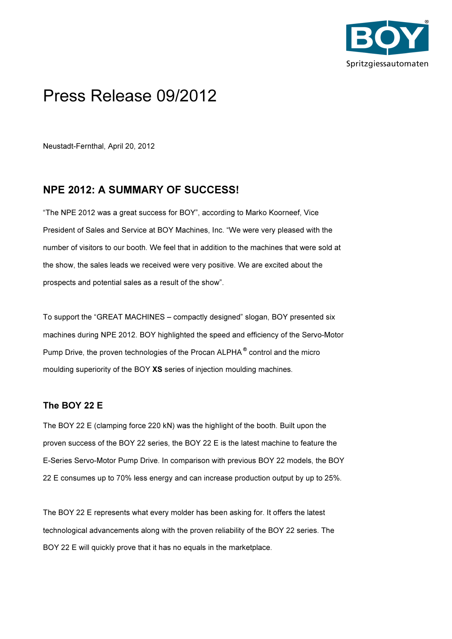

# Press Release 09/2012

Neustadt-Fernthal, April 20, 2012

## NPE 2012: A SUMMARY OF SUCCESS!

"The NPE 2012 was a great success for BOY", according to Marko Koorneef, Vice President of Sales and Service at BOY Machines, Inc. "We were very pleased with the number of visitors to our booth. We feel that in addition to the machines that were sold at the show, the sales leads we received were very positive. We are excited about the prospects and potential sales as a result of the show".

To support the "GREAT MACHINES – compactly designed" slogan, BOY presented six machines during NPE 2012. BOY highlighted the speed and efficiency of the Servo-Motor Pump Drive, the proven technologies of the Procan ALPHA® control and the micro moulding superiority of the BOY XS series of injection moulding machines.

## The BOY 22 E

The BOY 22 E (clamping force 220 kN) was the highlight of the booth. Built upon the proven success of the BOY 22 series, the BOY 22 E is the latest machine to feature the E-Series Servo-Motor Pump Drive. In comparison with previous BOY 22 models, the BOY 22 E consumes up to 70% less energy and can increase production output by up to 25%.

The BOY 22 E represents what every molder has been asking for. It offers the latest technological advancements along with the proven reliability of the BOY 22 series. The BOY 22 E will quickly prove that it has no equals in the marketplace.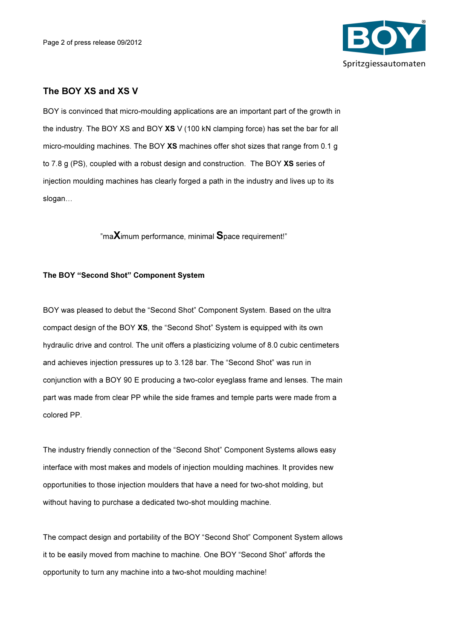

## The BOY XS and XS V

BOY is convinced that micro-moulding applications are an important part of the growth in the industry. The BOY XS and BOY XS V (100 kN clamping force) has set the bar for all micro-moulding machines. The BOY XS machines offer shot sizes that range from 0.1 g to 7.8 g (PS), coupled with a robust design and construction. The BOY XS series of injection moulding machines has clearly forged a path in the industry and lives up to its slogan...

"maXimum performance, minimal Space requirement!"

#### The BOY "Second Shot" Component System

BOY was pleased to debut the "Second Shot" Component System. Based on the ultra compact design of the BOY XS, the "Second Shot" System is equipped with its own hydraulic drive and control. The unit offers a plasticizing volume of 8.0 cubic centimeters and achieves injection pressures up to 3.128 bar. The "Second Shot" was run in conjunction with a BOY 90 E producing a two-color eyeglass frame and lenses. The main part was made from clear PP while the side frames and temple parts were made from a colored PP.

The industry friendly connection of the "Second Shot" Component Systems allows easy interface with most makes and models of injection moulding machines. It provides new opportunities to those injection moulders that have a need for two-shot molding, but without having to purchase a dedicated two-shot moulding machine.

The compact design and portability of the BOY "Second Shot" Component System allows it to be easily moved from machine to machine. One BOY "Second Shot" affords the opportunity to turn any machine into a two-shot moulding machine!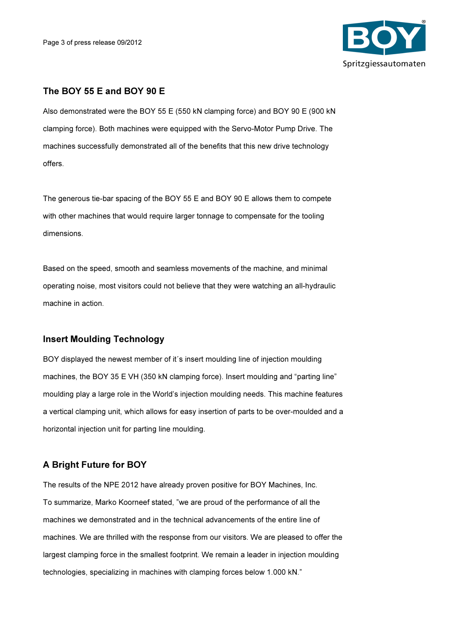

## The BOY 55 E and BOY 90 E

Also demonstrated were the BOY 55 E (550 kN clamping force) and BOY 90 E (900 kN clamping force). Both machines were equipped with the Servo-Motor Pump Drive. The machines successfully demonstrated all of the benefits that this new drive technology offers.

The generous tie-bar spacing of the BOY 55 E and BOY 90 E allows them to compete with other machines that would require larger tonnage to compensate for the tooling dimensions.

Based on the speed, smooth and seamless movements of the machine, and minimal operating noise, most visitors could not believe that they were watching an all-hydraulic machine in action.

#### Insert Moulding Technology

BOY displayed the newest member of it´s insert moulding line of injection moulding machines, the BOY 35 E VH (350 kN clamping force). Insert moulding and "parting line" moulding play a large role in the World's injection moulding needs. This machine features a vertical clamping unit, which allows for easy insertion of parts to be over-moulded and a horizontal injection unit for parting line moulding.

## A Bright Future for BOY

The results of the NPE 2012 have already proven positive for BOY Machines, Inc. To summarize, Marko Koorneef stated, "we are proud of the performance of all the machines we demonstrated and in the technical advancements of the entire line of machines. We are thrilled with the response from our visitors. We are pleased to offer the largest clamping force in the smallest footprint. We remain a leader in injection moulding technologies, specializing in machines with clamping forces below 1.000 kN."